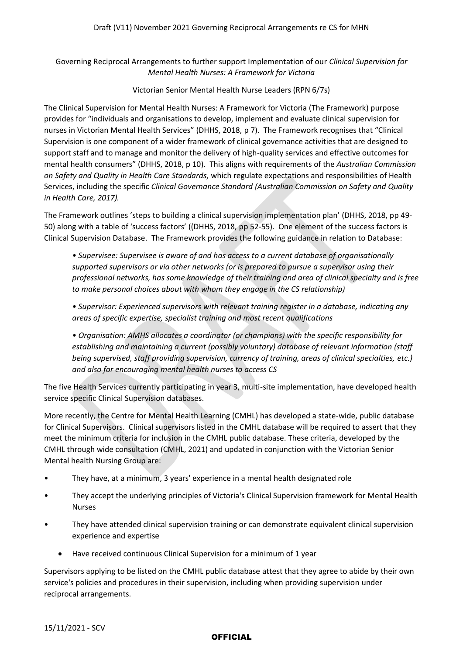Governing Reciprocal Arrangements to further support Implementation of our *Clinical Supervision for Mental Health Nurses: A Framework for Victoria*

## Victorian Senior Mental Health Nurse Leaders (RPN 6/7s)

The Clinical Supervision for Mental Health Nurses: A Framework for Victoria (The Framework) purpose provides for "individuals and organisations to develop, implement and evaluate clinical supervision for nurses in Victorian Mental Health Services" (DHHS, 2018, p 7). The Framework recognises that "Clinical Supervision is one component of a wider framework of clinical governance activities that are designed to support staff and to manage and monitor the delivery of high-quality services and effective outcomes for mental health consumers" (DHHS, 2018, p 10). This aligns with requirements of the *Australian Commission on Safety and Quality in Health Care Standards,* which regulate expectations and responsibilities of Health Services, including the specific *Clinical Governance Standard (Australian Commission on Safety and Quality in Health Care, 2017).* 

The Framework outlines 'steps to building a clinical supervision implementation plan' (DHHS, 2018, pp 49- 50) along with a table of 'success factors' ((DHHS, 2018, pp 52-55). One element of the success factors is Clinical Supervision Database. The Framework provides the following guidance in relation to Database:

*• Supervisee: Supervisee is aware of and has access to a current database of organisationally supported supervisors or via other networks (or is prepared to pursue a supervisor using their professional networks, has some knowledge of their training and area of clinical specialty and is free to make personal choices about with whom they engage in the CS relationship)*

*• Supervisor: Experienced supervisors with relevant training register in a database, indicating any areas of specific expertise, specialist training and most recent qualifications*

*• Organisation: AMHS allocates a coordinator (or champions) with the specific responsibility for establishing and maintaining a current (possibly voluntary) database of relevant information (staff being supervised, staff providing supervision, currency of training, areas of clinical specialties, etc.) and also for encouraging mental health nurses to access CS*

The five Health Services currently participating in year 3, multi-site implementation, have developed health service specific Clinical Supervision databases.

More recently, the Centre for Mental Health Learning (CMHL) has developed a state-wide, public database for Clinical Supervisors. Clinical supervisors listed in the CMHL database will be required to assert that they meet the minimum criteria for inclusion in the CMHL public database. These criteria, developed by the CMHL through wide consultation (CMHL, 2021) and updated in conjunction with the Victorian Senior Mental health Nursing Group are:

- They have, at a minimum, 3 years' experience in a mental health designated role
- They accept the underlying principles of Victoria's Clinical Supervision framework for Mental Health Nurses
- They have attended clinical supervision training or can demonstrate equivalent clinical supervision experience and expertise
	- Have received continuous Clinical Supervision for a minimum of 1 year

Supervisors applying to be listed on the CMHL public database attest that they agree to abide by their own service's policies and procedures in their supervision, including when providing supervision under reciprocal arrangements.

## **OFFICIAL**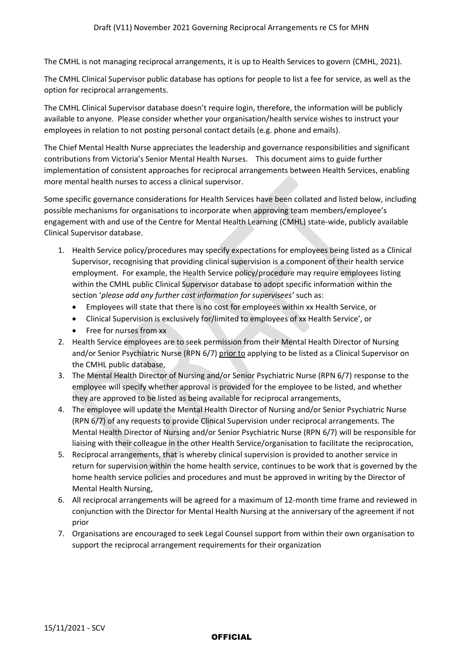The CMHL is not managing reciprocal arrangements, it is up to Health Services to govern (CMHL, 2021).

The CMHL Clinical Supervisor public database has options for people to list a fee for service, as well as the option for reciprocal arrangements.

The CMHL Clinical Supervisor database doesn't require login, therefore, the information will be publicly available to anyone. Please consider whether your organisation/health service wishes to instruct your employees in relation to not posting personal contact details (e.g. phone and emails).

The Chief Mental Health Nurse appreciates the leadership and governance responsibilities and significant contributions from Victoria's Senior Mental Health Nurses. This document aims to guide further implementation of consistent approaches for reciprocal arrangements between Health Services, enabling more mental health nurses to access a clinical supervisor.

Some specific governance considerations for Health Services have been collated and listed below, including possible mechanisms for organisations to incorporate when approving team members/employee's engagement with and use of the Centre for Mental Health Learning (CMHL) state-wide, publicly available Clinical Supervisor database.

- 1. Health Service policy/procedures may specify expectations for employees being listed as a Clinical Supervisor, recognising that providing clinical supervision is a component of their health service employment. For example, the Health Service policy/procedure may require employees listing within the CMHL public Clinical Supervisor database to adopt specific information within the section '*please add any further cost information for supervisees'* such as:
	- Employees will state that there is no cost for employees within xx Health Service, or
	- Clinical Supervision is exclusively for/limited to employees of xx Health Service', or
	- Free for nurses from xx
- 2. Health Service employees are to seek permission from their Mental Health Director of Nursing and/or Senior Psychiatric Nurse (RPN 6/7) prior to applying to be listed as a Clinical Supervisor on the CMHL public database,
- 3. The Mental Health Director of Nursing and/or Senior Psychiatric Nurse (RPN 6/7) response to the employee will specify whether approval is provided for the employee to be listed, and whether they are approved to be listed as being available for reciprocal arrangements,
- 4. The employee will update the Mental Health Director of Nursing and/or Senior Psychiatric Nurse (RPN 6/7) of any requests to provide Clinical Supervision under reciprocal arrangements. The Mental Health Director of Nursing and/or Senior Psychiatric Nurse (RPN 6/7) will be responsible for liaising with their colleague in the other Health Service/organisation to facilitate the reciprocation,
- 5. Reciprocal arrangements, that is whereby clinical supervision is provided to another service in return for supervision within the home health service, continues to be work that is governed by the home health service policies and procedures and must be approved in writing by the Director of Mental Health Nursing,
- 6. All reciprocal arrangements will be agreed for a maximum of 12-month time frame and reviewed in conjunction with the Director for Mental Health Nursing at the anniversary of the agreement if not prior
- 7. Organisations are encouraged to seek Legal Counsel support from within their own organisation to support the reciprocal arrangement requirements for their organization

## **OFFICIAL**